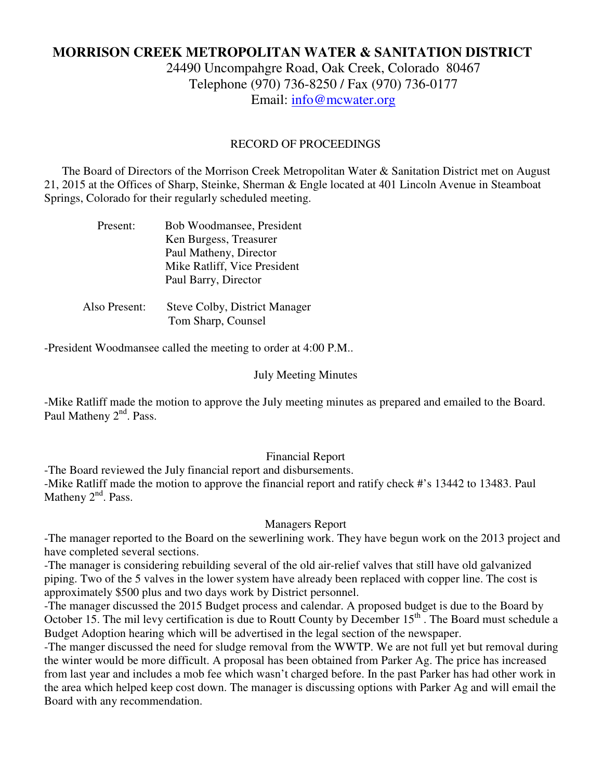# **MORRISON CREEK METROPOLITAN WATER & SANITATION DISTRICT**

24490 Uncompahgre Road, Oak Creek, Colorado 80467 Telephone (970) 736-8250 / Fax (970) 736-0177 Email: info@mcwater.org

### RECORD OF PROCEEDINGS

 The Board of Directors of the Morrison Creek Metropolitan Water & Sanitation District met on August 21, 2015 at the Offices of Sharp, Steinke, Sherman & Engle located at 401 Lincoln Avenue in Steamboat Springs, Colorado for their regularly scheduled meeting.

| Present:      | Bob Woodmansee, President            |
|---------------|--------------------------------------|
|               | Ken Burgess, Treasurer               |
|               | Paul Matheny, Director               |
|               | Mike Ratliff, Vice President         |
|               | Paul Barry, Director                 |
|               |                                      |
| Also Present: | <b>Steve Colby, District Manager</b> |
|               | Tom Sharp, Counsel                   |

-President Woodmansee called the meeting to order at 4:00 P.M..

#### July Meeting Minutes

-Mike Ratliff made the motion to approve the July meeting minutes as prepared and emailed to the Board. Paul Matheny 2<sup>nd</sup>. Pass.

#### Financial Report

-The Board reviewed the July financial report and disbursements. -Mike Ratliff made the motion to approve the financial report and ratify check #'s 13442 to 13483. Paul Matheny  $2<sup>nd</sup>$ . Pass.

#### Managers Report

-The manager reported to the Board on the sewerlining work. They have begun work on the 2013 project and have completed several sections.

-The manager is considering rebuilding several of the old air-relief valves that still have old galvanized piping. Two of the 5 valves in the lower system have already been replaced with copper line. The cost is approximately \$500 plus and two days work by District personnel.

-The manager discussed the 2015 Budget process and calendar. A proposed budget is due to the Board by October 15. The mil levy certification is due to Routt County by December 15<sup>th</sup>. The Board must schedule a Budget Adoption hearing which will be advertised in the legal section of the newspaper.

-The manger discussed the need for sludge removal from the WWTP. We are not full yet but removal during the winter would be more difficult. A proposal has been obtained from Parker Ag. The price has increased from last year and includes a mob fee which wasn't charged before. In the past Parker has had other work in the area which helped keep cost down. The manager is discussing options with Parker Ag and will email the Board with any recommendation.